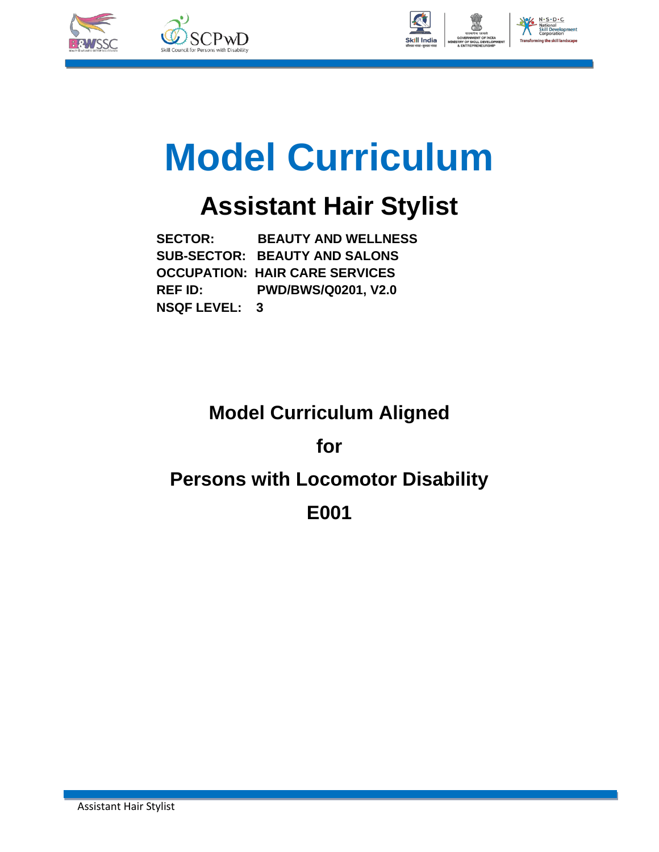



# **Model Curriculum**

## **Assistant Hair Stylist**

 **SECTOR: BEAUTY AND WELLNESS SUB-SECTOR: BEAUTY AND SALONS OCCUPATION: HAIR CARE SERVICES REF ID: PWD/BWS/Q0201, V2.0 NSQF LEVEL: 3**

## **Model Curriculum Aligned**

### **for**

## **Persons with Locomotor Disability**

### **E001**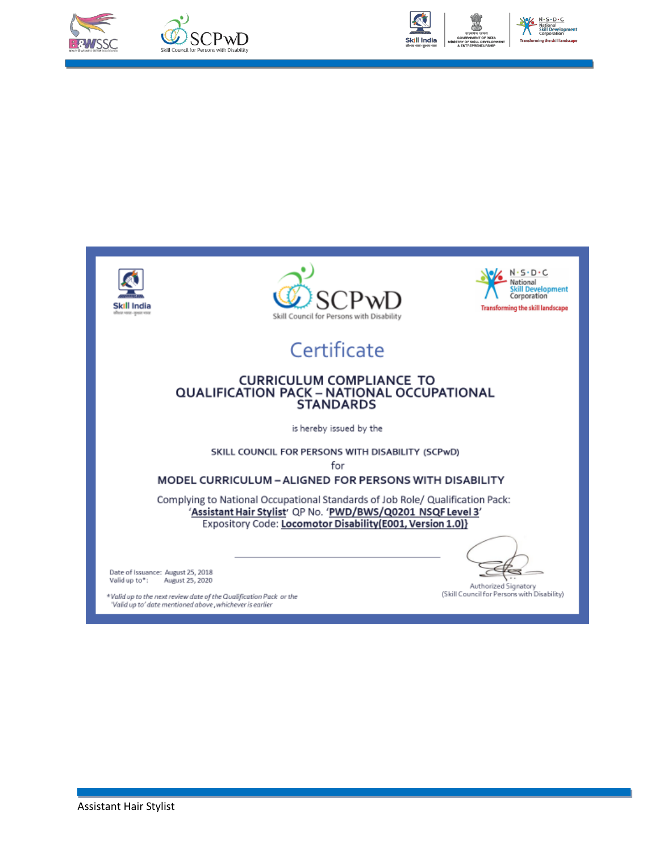



No N.S.D.C National<br>Skill Development<br>Corporation







## Certificate

## CURRICULUM COMPLIANCE TO<br>QUALIFICATION PACK – NATIONAL OCCUPATIONAL<br>STANDARDS

is hereby issued by the

SKILL COUNCIL FOR PERSONS WITH DISABILITY (SCPwD) for

### MODEL CURRICULUM - ALIGNED FOR PERSONS WITH DISABILITY

Complying to National Occupational Standards of Job Role/ Qualification Pack: 'Assistant Hair Stylist' QP No. 'PWD/BWS/Q0201 NSQF Level 3' Expository Code: Locomotor Disability(E001, Version 1.0)}

Date of Issuance: August 25, 2018 August 25, 2020 Valid up to\*:

\*Valid up to the next review date of the Qualification Pack or the 'Valid up to' date mentioned above, whichever is earlier

€

Authorized Signatory (Skill Council for Persons with Disability)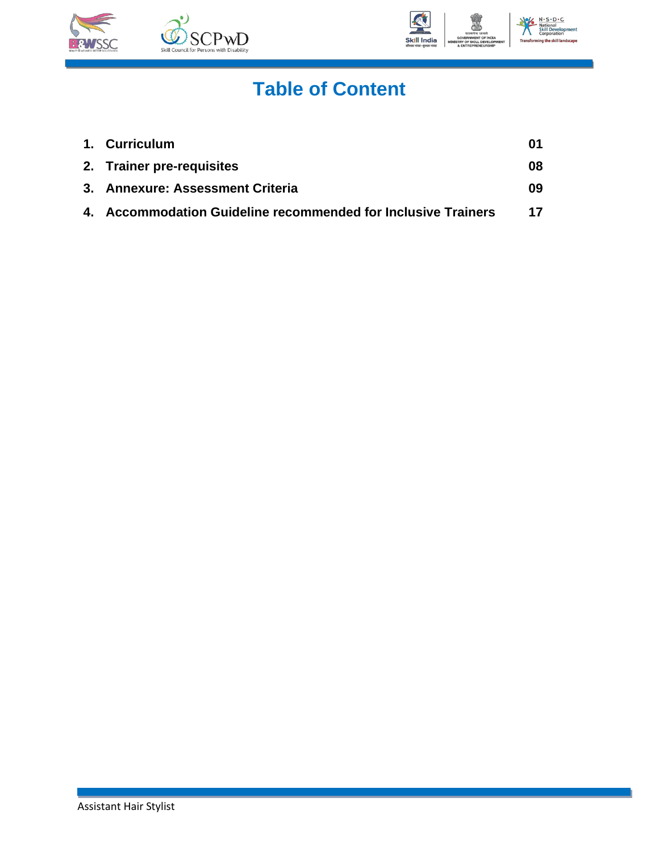



## **Table of Content**

| 1. Curriculum                                                 | 01 |
|---------------------------------------------------------------|----|
| 2. Trainer pre-requisites                                     | 08 |
| 3. Annexure: Assessment Criteria                              | 09 |
| 4. Accommodation Guideline recommended for Inclusive Trainers | 17 |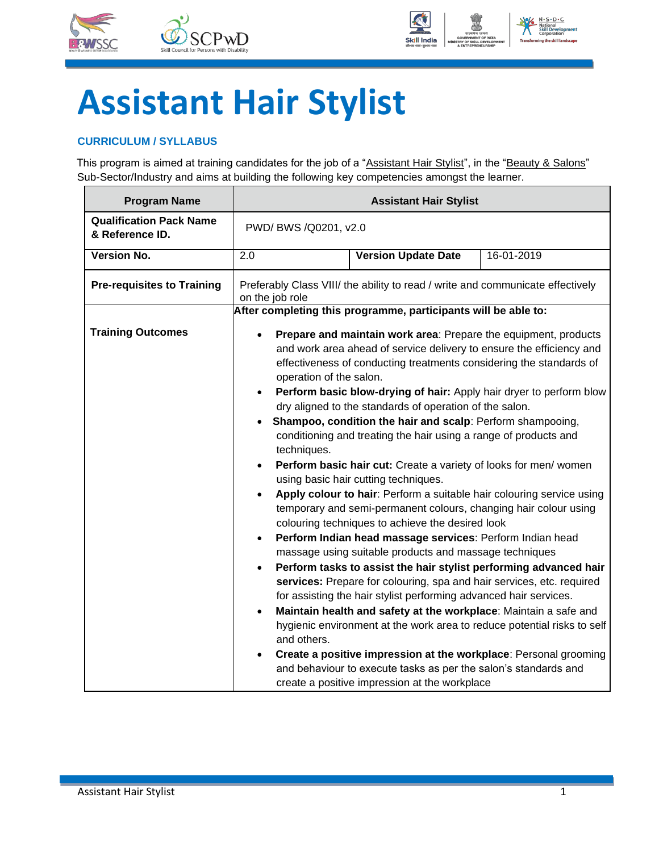



## **Assistant Hair Stylist**

### <span id="page-3-0"></span>**CURRICULUM / SYLLABUS**

This program is aimed at training candidates for the job of a "Assistant Hair Stylist", in the "Beauty & Salons" Sub-Sector/Industry and aims at building the following key competencies amongst the learner.

| <b>Program Name</b>                               |                                                                                                                                                                     | <b>Assistant Hair Stylist</b>                                                                                                                                                                                                                                                                                                                                                                                                                                                                                                                                                                                                                                                                                                                                                                                                                                                                                                                                                                                                                                                                                                                                                                                                                                                                                                                                                                                                                                                    |  |  |  |  |
|---------------------------------------------------|---------------------------------------------------------------------------------------------------------------------------------------------------------------------|----------------------------------------------------------------------------------------------------------------------------------------------------------------------------------------------------------------------------------------------------------------------------------------------------------------------------------------------------------------------------------------------------------------------------------------------------------------------------------------------------------------------------------------------------------------------------------------------------------------------------------------------------------------------------------------------------------------------------------------------------------------------------------------------------------------------------------------------------------------------------------------------------------------------------------------------------------------------------------------------------------------------------------------------------------------------------------------------------------------------------------------------------------------------------------------------------------------------------------------------------------------------------------------------------------------------------------------------------------------------------------------------------------------------------------------------------------------------------------|--|--|--|--|
| <b>Qualification Pack Name</b><br>& Reference ID. | PWD/ BWS /Q0201, v2.0                                                                                                                                               |                                                                                                                                                                                                                                                                                                                                                                                                                                                                                                                                                                                                                                                                                                                                                                                                                                                                                                                                                                                                                                                                                                                                                                                                                                                                                                                                                                                                                                                                                  |  |  |  |  |
| <b>Version No.</b>                                | 2.0                                                                                                                                                                 | <b>Version Update Date</b><br>16-01-2019                                                                                                                                                                                                                                                                                                                                                                                                                                                                                                                                                                                                                                                                                                                                                                                                                                                                                                                                                                                                                                                                                                                                                                                                                                                                                                                                                                                                                                         |  |  |  |  |
| <b>Pre-requisites to Training</b>                 | Preferably Class VIII/ the ability to read / write and communicate effectively<br>on the job role<br>After completing this programme, participants will be able to: |                                                                                                                                                                                                                                                                                                                                                                                                                                                                                                                                                                                                                                                                                                                                                                                                                                                                                                                                                                                                                                                                                                                                                                                                                                                                                                                                                                                                                                                                                  |  |  |  |  |
| <b>Training Outcomes</b>                          | operation of the salon.<br>$\bullet$<br>techniques.<br>$\bullet$<br>$\bullet$<br>$\bullet$<br>$\bullet$<br>and others.<br>$\bullet$                                 | Prepare and maintain work area: Prepare the equipment, products<br>and work area ahead of service delivery to ensure the efficiency and<br>effectiveness of conducting treatments considering the standards of<br>Perform basic blow-drying of hair: Apply hair dryer to perform blow<br>dry aligned to the standards of operation of the salon.<br>Shampoo, condition the hair and scalp: Perform shampooing,<br>conditioning and treating the hair using a range of products and<br>Perform basic hair cut: Create a variety of looks for men/ women<br>using basic hair cutting techniques.<br>Apply colour to hair: Perform a suitable hair colouring service using<br>temporary and semi-permanent colours, changing hair colour using<br>colouring techniques to achieve the desired look<br>Perform Indian head massage services: Perform Indian head<br>massage using suitable products and massage techniques<br>Perform tasks to assist the hair stylist performing advanced hair<br>services: Prepare for colouring, spa and hair services, etc. required<br>for assisting the hair stylist performing advanced hair services.<br>Maintain health and safety at the workplace: Maintain a safe and<br>hygienic environment at the work area to reduce potential risks to self<br>Create a positive impression at the workplace: Personal grooming<br>and behaviour to execute tasks as per the salon's standards and<br>create a positive impression at the workplace |  |  |  |  |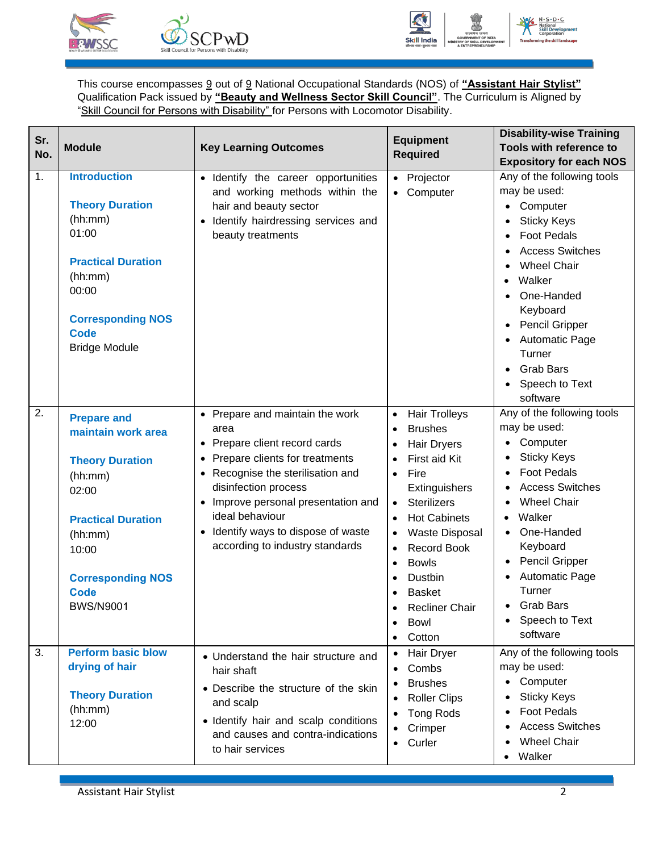



This course encompasses 9 out of 9 National Occupational Standards (NOS) of **"Assistant Hair Stylist"** Qualification Pack issued by **"Beauty and Wellness Sector Skill Council"**. The Curriculum is Aligned by "Skill Council for Persons with Disability" for Persons with Locomotor Disability.

| Sr. |                           |                                                 | <b>Equipment</b>                  | <b>Disability-wise Training</b>                        |
|-----|---------------------------|-------------------------------------------------|-----------------------------------|--------------------------------------------------------|
| No. | <b>Module</b>             | <b>Key Learning Outcomes</b>                    | <b>Required</b>                   | Tools with reference to                                |
|     |                           |                                                 |                                   | <b>Expository for each NOS</b>                         |
| 1.  | <b>Introduction</b>       | · Identify the career opportunities             | • Projector                       | Any of the following tools                             |
|     |                           | and working methods within the                  | Computer                          | may be used:                                           |
|     | <b>Theory Duration</b>    | hair and beauty sector                          |                                   | Computer                                               |
|     | (hh:mm)                   | Identify hairdressing services and<br>$\bullet$ |                                   | <b>Sticky Keys</b>                                     |
|     | 01:00                     | beauty treatments                               |                                   | <b>Foot Pedals</b>                                     |
|     | <b>Practical Duration</b> |                                                 |                                   | <b>Access Switches</b>                                 |
|     |                           |                                                 |                                   | <b>Wheel Chair</b>                                     |
|     | (hh:mm)                   |                                                 |                                   | Walker<br>$\bullet$                                    |
|     | 00:00                     |                                                 |                                   | One-Handed                                             |
|     | <b>Corresponding NOS</b>  |                                                 |                                   | Keyboard                                               |
|     | <b>Code</b>               |                                                 |                                   | Pencil Gripper<br>$\bullet$                            |
|     | <b>Bridge Module</b>      |                                                 |                                   | <b>Automatic Page</b>                                  |
|     |                           |                                                 |                                   | Turner                                                 |
|     |                           |                                                 |                                   | <b>Grab Bars</b>                                       |
|     |                           |                                                 |                                   | Speech to Text                                         |
|     |                           |                                                 |                                   | software                                               |
| 2.  | <b>Prepare and</b>        | • Prepare and maintain the work                 | <b>Hair Trolleys</b><br>$\bullet$ | Any of the following tools                             |
|     | maintain work area        | area                                            | <b>Brushes</b><br>$\bullet$       | may be used:                                           |
|     |                           | Prepare client record cards                     | <b>Hair Dryers</b>                | • Computer                                             |
|     | <b>Theory Duration</b>    | Prepare clients for treatments                  | First aid Kit                     | <b>Sticky Keys</b>                                     |
|     | (hh:mm)                   | Recognise the sterilisation and                 | Fire<br>$\bullet$                 | <b>Foot Pedals</b>                                     |
|     | 02:00                     | disinfection process                            | Extinguishers                     | <b>Access Switches</b>                                 |
|     |                           | Improve personal presentation and               | <b>Sterilizers</b><br>$\bullet$   | <b>Wheel Chair</b>                                     |
|     | <b>Practical Duration</b> | ideal behaviour                                 | <b>Hot Cabinets</b><br>$\bullet$  | Walker                                                 |
|     | (hh:mm)                   | Identify ways to dispose of waste<br>$\bullet$  | Waste Disposal                    | One-Handed                                             |
|     | 10:00                     | according to industry standards                 | <b>Record Book</b>                | Keyboard                                               |
|     |                           |                                                 | <b>Bowls</b><br>$\bullet$         | Pencil Gripper<br>$\bullet$                            |
|     | <b>Corresponding NOS</b>  |                                                 | Dustbin<br>$\bullet$              | <b>Automatic Page</b>                                  |
|     | <b>Code</b>               |                                                 | <b>Basket</b>                     | Turner                                                 |
|     | <b>BWS/N9001</b>          |                                                 | Recliner Chair<br>$\bullet$       | <b>Grab Bars</b>                                       |
|     |                           |                                                 | Bowl<br>$\bullet$                 | Speech to Text                                         |
|     |                           |                                                 | Cotton                            | software                                               |
| 3.  | <b>Perform basic blow</b> | • Understand the hair structure and             | Hair Dryer<br>$\bullet$           | Any of the following tools                             |
|     | drying of hair            | hair shaft                                      | Combs                             | may be used:                                           |
|     |                           |                                                 | <b>Brushes</b>                    | • Computer                                             |
|     | <b>Theory Duration</b>    | • Describe the structure of the skin            | <b>Roller Clips</b>               | <b>Sticky Keys</b>                                     |
|     | (hh:mm)                   | and scalp                                       | <b>Tong Rods</b>                  | <b>Foot Pedals</b>                                     |
|     | 12:00                     | · Identify hair and scalp conditions            |                                   |                                                        |
|     |                           | and causes and contra-indications               |                                   |                                                        |
|     |                           | to hair services                                |                                   |                                                        |
|     |                           |                                                 | Crimper<br>Curler                 | <b>Access Switches</b><br><b>Wheel Chair</b><br>Walker |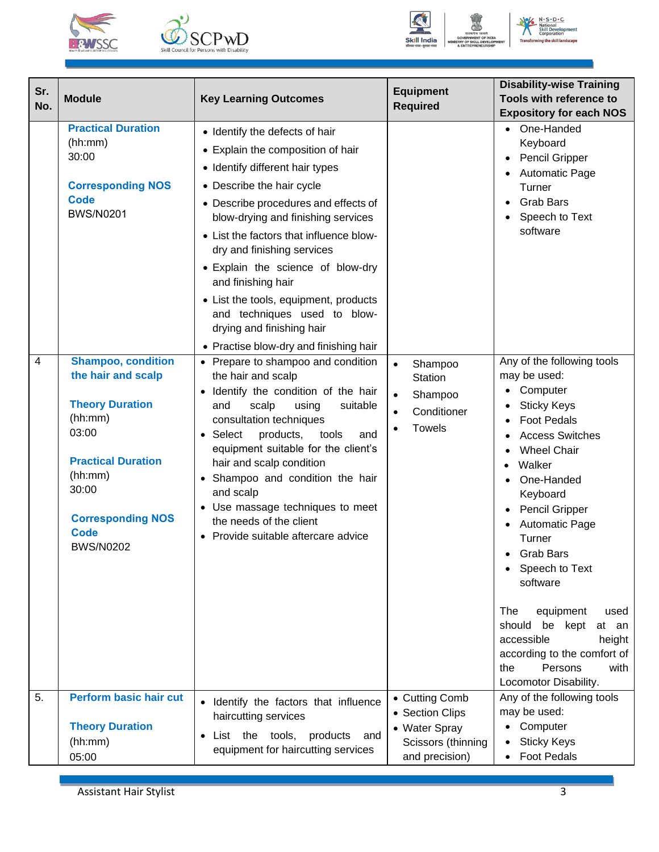





| Sr.<br>No. | <b>Module</b>                                                                                                                                                                                                 | <b>Key Learning Outcomes</b>                                                                                                                                                                                                                                                                                                                                                                                                                                                                          | <b>Equipment</b><br><b>Required</b>                                                            | <b>Disability-wise Training</b><br>Tools with reference to<br><b>Expository for each NOS</b>                                                                                                                                                                                                                                                                                                                                                                                |
|------------|---------------------------------------------------------------------------------------------------------------------------------------------------------------------------------------------------------------|-------------------------------------------------------------------------------------------------------------------------------------------------------------------------------------------------------------------------------------------------------------------------------------------------------------------------------------------------------------------------------------------------------------------------------------------------------------------------------------------------------|------------------------------------------------------------------------------------------------|-----------------------------------------------------------------------------------------------------------------------------------------------------------------------------------------------------------------------------------------------------------------------------------------------------------------------------------------------------------------------------------------------------------------------------------------------------------------------------|
|            | <b>Practical Duration</b><br>(hh:mm)<br>30:00<br><b>Corresponding NOS</b><br><b>Code</b><br><b>BWS/N0201</b>                                                                                                  | • Identify the defects of hair<br>• Explain the composition of hair<br>• Identify different hair types<br>• Describe the hair cycle<br>• Describe procedures and effects of<br>blow-drying and finishing services<br>• List the factors that influence blow-<br>dry and finishing services<br>• Explain the science of blow-dry<br>and finishing hair<br>• List the tools, equipment, products<br>and techniques used to blow-<br>drying and finishing hair<br>• Practise blow-dry and finishing hair |                                                                                                | One-Handed<br>$\bullet$<br>Keyboard<br>Pencil Gripper<br><b>Automatic Page</b><br>Turner<br><b>Grab Bars</b><br>Speech to Text<br>software                                                                                                                                                                                                                                                                                                                                  |
| 4          | <b>Shampoo, condition</b><br>the hair and scalp<br><b>Theory Duration</b><br>(hh:mm)<br>03:00<br><b>Practical Duration</b><br>(hh:mm)<br>30:00<br><b>Corresponding NOS</b><br><b>Code</b><br><b>BWS/N0202</b> | • Prepare to shampoo and condition<br>the hair and scalp<br>· Identify the condition of the hair<br>scalp<br>using<br>and<br>suitable<br>consultation techniques<br>• Select<br>products,<br>tools<br>and<br>equipment suitable for the client's<br>hair and scalp condition<br>Shampoo and condition the hair<br>and scalp<br>• Use massage techniques to meet<br>the needs of the client<br>• Provide suitable aftercare advice                                                                     | Shampoo<br>$\bullet$<br><b>Station</b><br>Shampoo<br>Conditioner<br>$\bullet$<br><b>Towels</b> | Any of the following tools<br>may be used:<br>Computer<br><b>Sticky Keys</b><br><b>Foot Pedals</b><br><b>Access Switches</b><br><b>Wheel Chair</b><br>Walker<br>$\bullet$<br>One-Handed<br>Keyboard<br>Pencil Gripper<br><b>Automatic Page</b><br>Turner<br>• Grab Bars<br>• Speech to Text<br>software<br>The<br>equipment<br>used<br>should<br>be kept<br>at an<br>accessible<br>height<br>according to the comfort of<br>Persons<br>the<br>with<br>Locomotor Disability. |
| 5.         | <b>Perform basic hair cut</b><br><b>Theory Duration</b><br>(hh:mm)<br>05:00                                                                                                                                   | • Identify the factors that influence<br>haircutting services<br>List the tools, products and<br>$\bullet$<br>equipment for haircutting services                                                                                                                                                                                                                                                                                                                                                      | • Cutting Comb<br>• Section Clips<br>• Water Spray<br>Scissors (thinning<br>and precision)     | Any of the following tools<br>may be used:<br>Computer<br><b>Sticky Keys</b><br><b>Foot Pedals</b>                                                                                                                                                                                                                                                                                                                                                                          |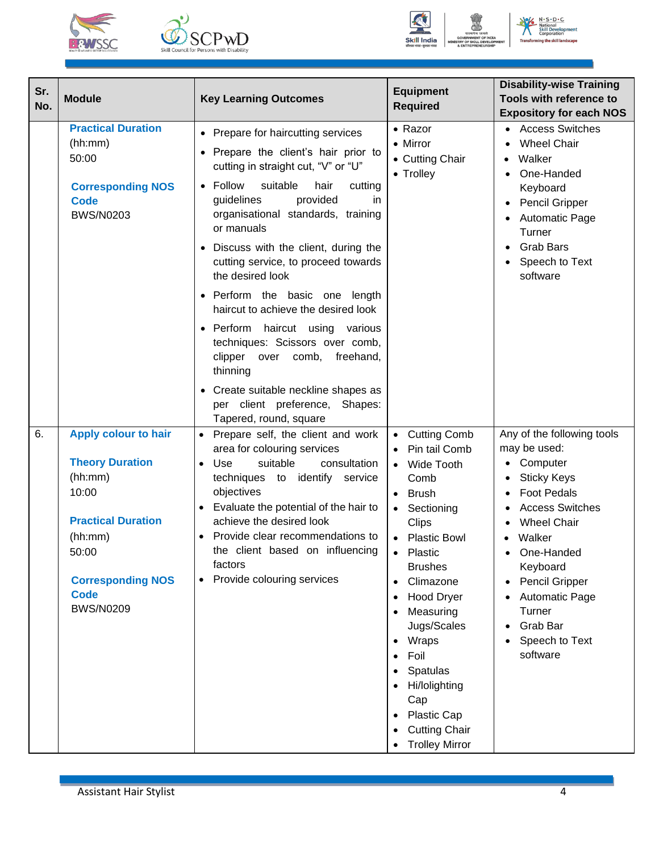





| Sr.<br>No. | <b>Module</b>                                               | <b>Key Learning Outcomes</b>                                                                                              | <b>Equipment</b><br><b>Required</b>                 | <b>Disability-wise Training</b><br>Tools with reference to<br><b>Expository for each NOS</b> |
|------------|-------------------------------------------------------------|---------------------------------------------------------------------------------------------------------------------------|-----------------------------------------------------|----------------------------------------------------------------------------------------------|
|            | <b>Practical Duration</b><br>(hh:mm)<br>50:00               | • Prepare for haircutting services<br>• Prepare the client's hair prior to<br>cutting in straight cut, "V" or "U"         | • Razor<br>• Mirror<br>• Cutting Chair<br>• Trolley | • Access Switches<br><b>Wheel Chair</b><br>Walker<br>One-Handed<br>$\bullet$                 |
|            | <b>Corresponding NOS</b><br><b>Code</b><br><b>BWS/N0203</b> | Follow<br>suitable<br>hair<br>cutting<br>provided<br>guidelines<br>in<br>organisational standards, training<br>or manuals |                                                     | Keyboard<br>Pencil Gripper<br><b>Automatic Page</b><br>Turner                                |
|            |                                                             | Discuss with the client, during the<br>cutting service, to proceed towards<br>the desired look                            |                                                     | <b>Grab Bars</b><br>Speech to Text<br>software                                               |
|            |                                                             | • Perform the basic one length<br>haircut to achieve the desired look                                                     |                                                     |                                                                                              |
|            |                                                             | • Perform haircut using various<br>techniques: Scissors over comb,<br>clipper<br>freehand,<br>over comb,<br>thinning      |                                                     |                                                                                              |
|            |                                                             | • Create suitable neckline shapes as<br>per client preference, Shapes:<br>Tapered, round, square                          |                                                     |                                                                                              |
| 6.         | <b>Apply colour to hair</b>                                 | Prepare self, the client and work<br>$\bullet$                                                                            | <b>Cutting Comb</b><br>$\bullet$                    | Any of the following tools                                                                   |
|            | <b>Theory Duration</b>                                      | area for colouring services<br>suitable<br>Use<br>consultation<br>$\bullet$                                               | Pin tail Comb<br>Wide Tooth                         | may be used:<br>• Computer                                                                   |
|            | (hh:mm)                                                     | techniques to identify service                                                                                            | Comb                                                | <b>Sticky Keys</b>                                                                           |
|            | 10:00                                                       | objectives                                                                                                                | <b>Brush</b>                                        | <b>Foot Pedals</b>                                                                           |
|            |                                                             | Evaluate the potential of the hair to<br>$\bullet$                                                                        | Sectioning                                          | <b>Access Switches</b>                                                                       |
|            | <b>Practical Duration</b><br>(hh:mm)                        | achieve the desired look<br>Provide clear recommendations to                                                              | <b>Clips</b><br><b>Plastic Bowl</b>                 | <b>Wheel Chair</b><br>Walker                                                                 |
|            | 50:00                                                       | the client based on influencing                                                                                           | Plastic                                             | One-Handed                                                                                   |
|            |                                                             | factors                                                                                                                   | <b>Brushes</b>                                      | Keyboard                                                                                     |
|            | <b>Corresponding NOS</b>                                    | Provide colouring services<br>$\bullet$                                                                                   | Climazone                                           | Pencil Gripper                                                                               |
|            | <b>Code</b><br><b>BWS/N0209</b>                             |                                                                                                                           | <b>Hood Dryer</b>                                   | <b>Automatic Page</b>                                                                        |
|            |                                                             |                                                                                                                           | Measuring<br>Jugs/Scales                            | Turner<br>Grab Bar                                                                           |
|            |                                                             |                                                                                                                           | Wraps                                               | Speech to Text                                                                               |
|            |                                                             |                                                                                                                           | Foil                                                | software                                                                                     |
|            |                                                             |                                                                                                                           | Spatulas                                            |                                                                                              |
|            |                                                             |                                                                                                                           | Hi/lolighting<br>Cap                                |                                                                                              |
|            |                                                             |                                                                                                                           | Plastic Cap                                         |                                                                                              |
|            |                                                             |                                                                                                                           | <b>Cutting Chair</b>                                |                                                                                              |
|            |                                                             |                                                                                                                           | <b>Trolley Mirror</b>                               |                                                                                              |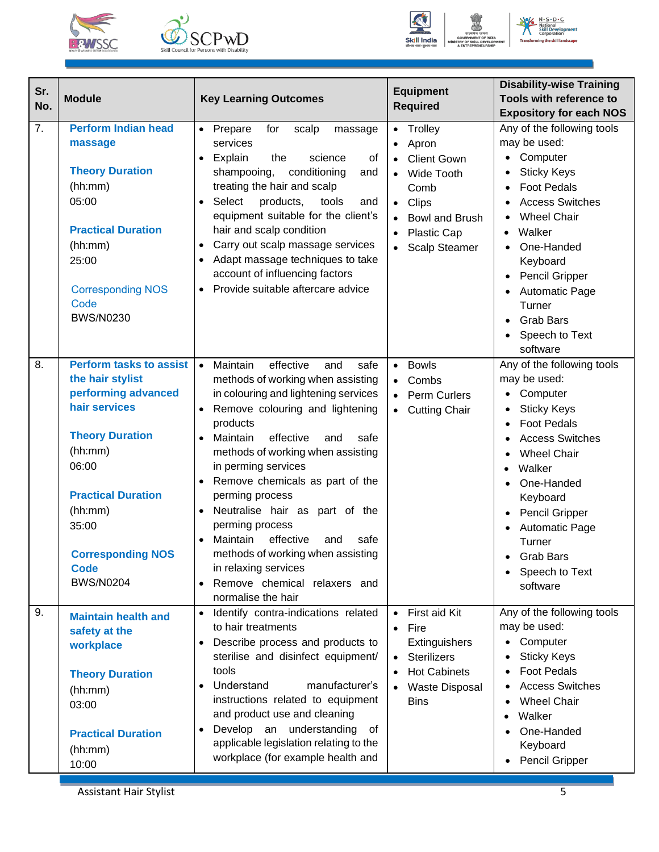





| Sr.<br>No. | <b>Module</b>                                                                                                                                                                                                                                            | <b>Key Learning Outcomes</b>                                                                                                                                                                                                                                                                                                                                                                                                                                                                                                                                                      | <b>Equipment</b><br><b>Required</b>                                                                                                                                                 | <b>Disability-wise Training</b><br>Tools with reference to<br><b>Expository for each NOS</b>                                                                                                                                                                                                                     |
|------------|----------------------------------------------------------------------------------------------------------------------------------------------------------------------------------------------------------------------------------------------------------|-----------------------------------------------------------------------------------------------------------------------------------------------------------------------------------------------------------------------------------------------------------------------------------------------------------------------------------------------------------------------------------------------------------------------------------------------------------------------------------------------------------------------------------------------------------------------------------|-------------------------------------------------------------------------------------------------------------------------------------------------------------------------------------|------------------------------------------------------------------------------------------------------------------------------------------------------------------------------------------------------------------------------------------------------------------------------------------------------------------|
| 7.         | <b>Perform Indian head</b><br>massage<br><b>Theory Duration</b><br>(hh:mm)<br>05:00<br><b>Practical Duration</b><br>(hh:mm)<br>25:00<br><b>Corresponding NOS</b><br>Code<br><b>BWS/N0230</b>                                                             | • Prepare<br>for<br>scalp<br>massage<br>services<br>Explain<br>the<br>science<br>οf<br>$\bullet$<br>conditioning<br>shampooing,<br>and<br>treating the hair and scalp<br>Select<br>products,<br>tools<br>and<br>$\bullet$<br>equipment suitable for the client's<br>hair and scalp condition<br>Carry out scalp massage services<br>Adapt massage techniques to take<br>account of influencing factors<br>Provide suitable aftercare advice<br>$\bullet$                                                                                                                          | Trolley<br>$\bullet$<br>Apron<br><b>Client Gown</b><br>Wide Tooth<br>$\bullet$<br>Comb<br>Clips<br>$\bullet$<br><b>Bowl and Brush</b><br><b>Plastic Cap</b><br><b>Scalp Steamer</b> | Any of the following tools<br>may be used:<br>Computer<br><b>Sticky Keys</b><br><b>Foot Pedals</b><br><b>Access Switches</b><br><b>Wheel Chair</b><br>$\bullet$<br>Walker<br>$\bullet$<br>One-Handed<br>Keyboard<br>Pencil Gripper<br>Automatic Page<br>Turner<br><b>Grab Bars</b><br>Speech to Text<br>software |
| 8.         | <b>Perform tasks to assist</b><br>the hair stylist<br>performing advanced<br>hair services<br><b>Theory Duration</b><br>(hh:mm)<br>06:00<br><b>Practical Duration</b><br>(hh:mm)<br>35:00<br><b>Corresponding NOS</b><br><b>Code</b><br><b>BWS/N0204</b> | Maintain<br>effective<br>$\bullet$<br>and<br>safe<br>methods of working when assisting<br>in colouring and lightening services<br>Remove colouring and lightening<br>$\bullet$<br>products<br>Maintain<br>effective<br>and<br>safe<br>$\bullet$<br>methods of working when assisting<br>in perming services<br>Remove chemicals as part of the<br>perming process<br>Neutralise hair as part of the<br>perming process<br>effective<br>Maintain<br>and<br>safe<br>methods of working when assisting<br>in relaxing services<br>Remove chemical relaxers and<br>normalise the hair | <b>Bowls</b><br>$\bullet$<br>Combs<br>Perm Curlers<br><b>Cutting Chair</b><br>$\bullet$                                                                                             | Any of the following tools<br>may be used:<br>Computer<br><b>Sticky Keys</b><br><b>Foot Pedals</b><br><b>Access Switches</b><br><b>Wheel Chair</b><br>Walker<br>$\bullet$<br>One-Handed<br>Keyboard<br><b>Pencil Gripper</b><br>Automatic Page<br>Turner<br><b>Grab Bars</b><br>Speech to Text<br>software       |
| 9.         | <b>Maintain health and</b><br>safety at the<br>workplace<br><b>Theory Duration</b><br>(hh:mm)<br>03:00<br><b>Practical Duration</b><br>(hh:mm)<br>10:00                                                                                                  | Identify contra-indications related<br>$\bullet$<br>to hair treatments<br>Describe process and products to<br>$\bullet$<br>sterilise and disinfect equipment/<br>tools<br>Understand<br>manufacturer's<br>instructions related to equipment<br>and product use and cleaning<br>Develop an understanding<br>0f<br>applicable legislation relating to the<br>workplace (for example health and                                                                                                                                                                                      | First aid Kit<br>Fire<br>Extinguishers<br><b>Sterilizers</b><br>$\bullet$<br><b>Hot Cabinets</b><br>Waste Disposal<br><b>Bins</b>                                                   | Any of the following tools<br>may be used:<br>• Computer<br><b>Sticky Keys</b><br><b>Foot Pedals</b><br><b>Access Switches</b><br><b>Wheel Chair</b><br>Walker<br>One-Handed<br>Keyboard<br>Pencil Gripper                                                                                                       |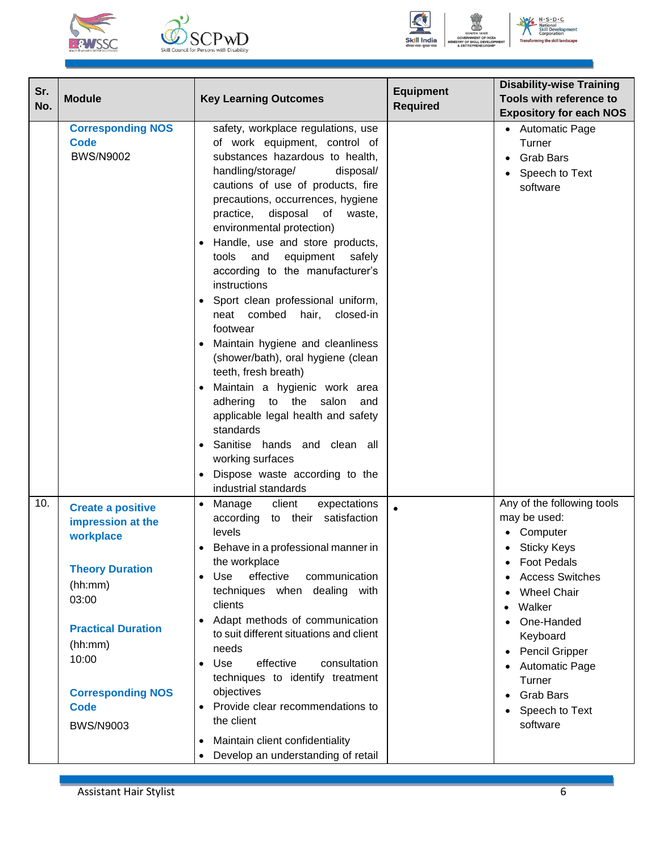





| Sr.<br>No. | <b>Module</b>                                                                                                                                                                                                            | <b>Key Learning Outcomes</b>                                                                                                                                                                                                                                                                                                                                                                                                                                                                                                                                                                                                                                                                                                                                                                                                                                 | <b>Equipment</b><br><b>Required</b> | <b>Disability-wise Training</b><br>Tools with reference to<br><b>Expository for each NOS</b>                                                                                                                                                                                                                      |
|------------|--------------------------------------------------------------------------------------------------------------------------------------------------------------------------------------------------------------------------|--------------------------------------------------------------------------------------------------------------------------------------------------------------------------------------------------------------------------------------------------------------------------------------------------------------------------------------------------------------------------------------------------------------------------------------------------------------------------------------------------------------------------------------------------------------------------------------------------------------------------------------------------------------------------------------------------------------------------------------------------------------------------------------------------------------------------------------------------------------|-------------------------------------|-------------------------------------------------------------------------------------------------------------------------------------------------------------------------------------------------------------------------------------------------------------------------------------------------------------------|
|            | <b>Corresponding NOS</b><br><b>Code</b><br><b>BWS/N9002</b>                                                                                                                                                              | safety, workplace regulations, use<br>of work equipment, control of<br>substances hazardous to health,<br>handling/storage/<br>disposal/<br>cautions of use of products, fire<br>precautions, occurrences, hygiene<br>disposal of<br>practice,<br>waste,<br>environmental protection)<br>Handle, use and store products,<br>and<br>equipment<br>tools<br>safely<br>according to the manufacturer's<br>instructions<br>Sport clean professional uniform,<br>closed-in<br>neat combed<br>hair,<br>footwear<br>Maintain hygiene and cleanliness<br>(shower/bath), oral hygiene (clean<br>teeth, fresh breath)<br>Maintain a hygienic work area<br>adhering to the<br>salon<br>and<br>applicable legal health and safety<br>standards<br>Sanitise hands and clean all<br>$\bullet$<br>working surfaces<br>Dispose waste according to the<br>industrial standards |                                     | • Automatic Page<br>Turner<br><b>Grab Bars</b><br>Speech to Text<br>software                                                                                                                                                                                                                                      |
| 10.        | <b>Create a positive</b><br>impression at the<br>workplace<br><b>Theory Duration</b><br>(hh:mm)<br>03:00<br><b>Practical Duration</b><br>(hh:mm)<br>10:00<br><b>Corresponding NOS</b><br><b>Code</b><br><b>BWS/N9003</b> | expectations<br>Manage<br>client<br>$\bullet$<br>according<br>to their satisfaction<br>levels<br>Behave in a professional manner in<br>٠<br>the workplace<br>effective<br>Use<br>communication<br>techniques when dealing with<br>clients<br>Adapt methods of communication<br>٠<br>to suit different situations and client<br>needs<br>effective<br>consultation<br>Use<br>$\bullet$<br>techniques to identify treatment<br>objectives<br>Provide clear recommendations to<br>the client<br>Maintain client confidentiality<br>$\bullet$<br>Develop an understanding of retail                                                                                                                                                                                                                                                                              | $\bullet$                           | Any of the following tools<br>may be used:<br>Computer<br><b>Sticky Keys</b><br><b>Foot Pedals</b><br>$\bullet$<br><b>Access Switches</b><br><b>Wheel Chair</b><br>Walker<br>One-Handed<br>Keyboard<br><b>Pencil Gripper</b><br><b>Automatic Page</b><br>Turner<br><b>Grab Bars</b><br>Speech to Text<br>software |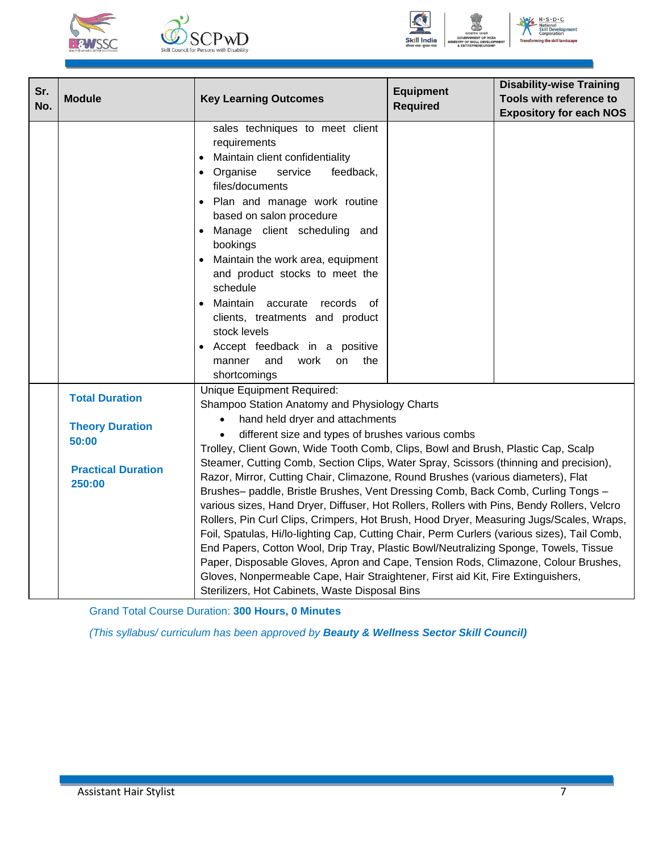





 $N \cdot S \cdot D \cdot C$ ℁

| Sr.<br>No. | <b>Module</b>                                                                                   | <b>Key Learning Outcomes</b>                                                                                                                                                                                                                                                                                                                                                                                                                                                                                                                                                                                                                                                                                                                                                                                                                                                                                                                                                                                                                                                                                                                         | <b>Equipment</b><br><b>Required</b> | <b>Disability-wise Training</b><br>Tools with reference to<br><b>Expository for each NOS</b> |  |
|------------|-------------------------------------------------------------------------------------------------|------------------------------------------------------------------------------------------------------------------------------------------------------------------------------------------------------------------------------------------------------------------------------------------------------------------------------------------------------------------------------------------------------------------------------------------------------------------------------------------------------------------------------------------------------------------------------------------------------------------------------------------------------------------------------------------------------------------------------------------------------------------------------------------------------------------------------------------------------------------------------------------------------------------------------------------------------------------------------------------------------------------------------------------------------------------------------------------------------------------------------------------------------|-------------------------------------|----------------------------------------------------------------------------------------------|--|
|            |                                                                                                 | sales techniques to meet client<br>requirements<br>Maintain client confidentiality<br>Organise<br>service<br>feedback,<br>files/documents<br>• Plan and manage work routine<br>based on salon procedure<br>Manage client scheduling and<br>$\bullet$<br>bookings<br>Maintain the work area, equipment<br>and product stocks to meet the<br>schedule<br>Maintain accurate records<br>of .<br>clients, treatments and product<br>stock levels<br>Accept feedback in a positive<br>work<br>the<br>manner<br>and<br><b>on</b>                                                                                                                                                                                                                                                                                                                                                                                                                                                                                                                                                                                                                            |                                     |                                                                                              |  |
|            | <b>Total Duration</b><br><b>Theory Duration</b><br>50:00<br><b>Practical Duration</b><br>250:00 | shortcomings<br>Unique Equipment Required:<br>Shampoo Station Anatomy and Physiology Charts<br>hand held dryer and attachments<br>different size and types of brushes various combs<br>Trolley, Client Gown, Wide Tooth Comb, Clips, Bowl and Brush, Plastic Cap, Scalp<br>Steamer, Cutting Comb, Section Clips, Water Spray, Scissors (thinning and precision),<br>Razor, Mirror, Cutting Chair, Climazone, Round Brushes (various diameters), Flat<br>Brushes- paddle, Bristle Brushes, Vent Dressing Comb, Back Comb, Curling Tongs -<br>various sizes, Hand Dryer, Diffuser, Hot Rollers, Rollers with Pins, Bendy Rollers, Velcro<br>Rollers, Pin Curl Clips, Crimpers, Hot Brush, Hood Dryer, Measuring Jugs/Scales, Wraps,<br>Foil, Spatulas, Hi/lo-lighting Cap, Cutting Chair, Perm Curlers (various sizes), Tail Comb,<br>End Papers, Cotton Wool, Drip Tray, Plastic Bowl/Neutralizing Sponge, Towels, Tissue<br>Paper, Disposable Gloves, Apron and Cape, Tension Rods, Climazone, Colour Brushes,<br>Gloves, Nonpermeable Cape, Hair Straightener, First aid Kit, Fire Extinguishers,<br>Sterilizers, Hot Cabinets, Waste Disposal Bins |                                     |                                                                                              |  |

Grand Total Course Duration: **300 Hours, 0 Minutes**

*(This syllabus/ curriculum has been approved by Beauty & Wellness Sector Skill Council)*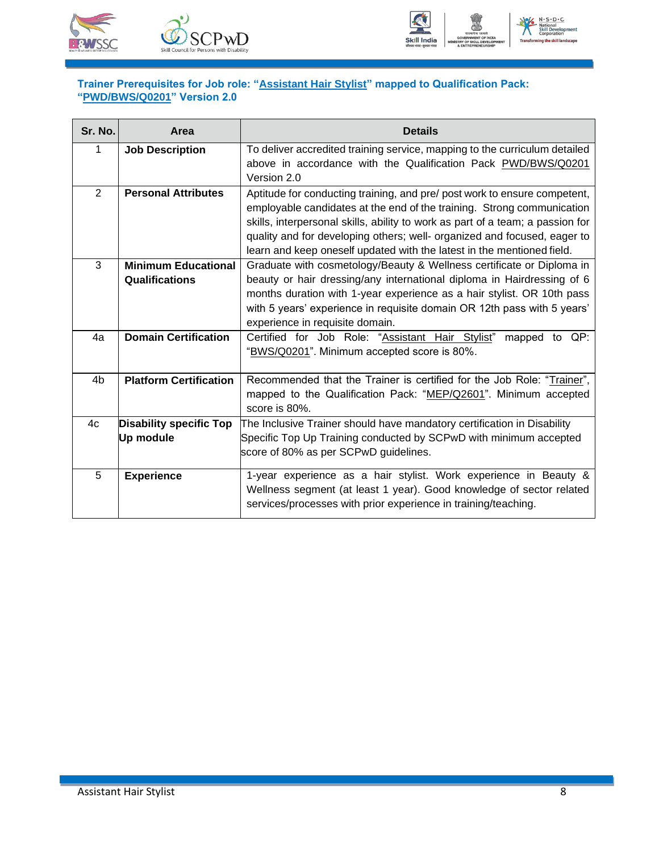



### <span id="page-10-0"></span>**Trainer Prerequisites for Job role: "Assistant Hair Stylist" mapped to Qualification Pack: "PWD/BWS/Q0201" Version 2.0**

| Sr. No.        | Area                                                | <b>Details</b>                                                                                                                                                                                                                                                                                                                                                                              |
|----------------|-----------------------------------------------------|---------------------------------------------------------------------------------------------------------------------------------------------------------------------------------------------------------------------------------------------------------------------------------------------------------------------------------------------------------------------------------------------|
| 1              | <b>Job Description</b>                              | To deliver accredited training service, mapping to the curriculum detailed<br>above in accordance with the Qualification Pack PWD/BWS/Q0201<br>Version 2.0                                                                                                                                                                                                                                  |
| $\overline{2}$ | <b>Personal Attributes</b>                          | Aptitude for conducting training, and pre/ post work to ensure competent,<br>employable candidates at the end of the training. Strong communication<br>skills, interpersonal skills, ability to work as part of a team; a passion for<br>quality and for developing others; well- organized and focused, eager to<br>learn and keep oneself updated with the latest in the mentioned field. |
| 3              | <b>Minimum Educational</b><br><b>Qualifications</b> | Graduate with cosmetology/Beauty & Wellness certificate or Diploma in<br>beauty or hair dressing/any international diploma in Hairdressing of 6<br>months duration with 1-year experience as a hair stylist. OR 10th pass<br>with 5 years' experience in requisite domain OR 12th pass with 5 years'<br>experience in requisite domain.                                                     |
| 4a             | <b>Domain Certification</b>                         | Certified for Job Role: "Assistant Hair Stylist"<br>mapped to QP:<br>"BWS/Q0201". Minimum accepted score is 80%.                                                                                                                                                                                                                                                                            |
| 4b             | <b>Platform Certification</b>                       | Recommended that the Trainer is certified for the Job Role: "Trainer",<br>mapped to the Qualification Pack: "MEP/Q2601". Minimum accepted<br>score is 80%.                                                                                                                                                                                                                                  |
| 4c             | <b>Disability specific Top</b><br>Up module         | The Inclusive Trainer should have mandatory certification in Disability<br>Specific Top Up Training conducted by SCPwD with minimum accepted<br>score of 80% as per SCPwD guidelines.                                                                                                                                                                                                       |
| 5              | <b>Experience</b>                                   | 1-year experience as a hair stylist. Work experience in Beauty &<br>Wellness segment (at least 1 year). Good knowledge of sector related<br>services/processes with prior experience in training/teaching.                                                                                                                                                                                  |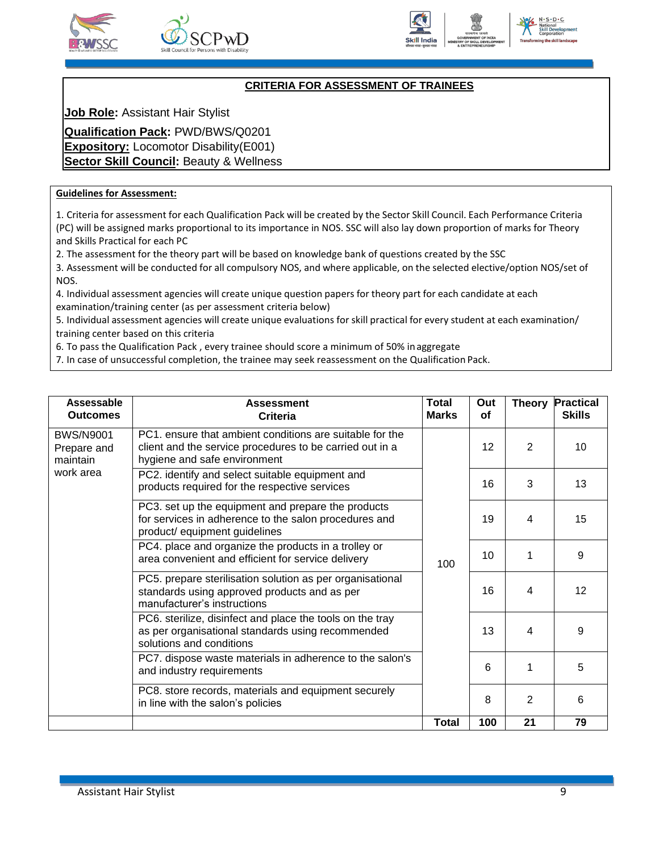





### **CRITERIA FOR ASSESSMENT OF TRAINEES**

<span id="page-11-0"></span>**Job Role:** Assistant Hair Stylist

**Qualification Pack:** PWD/BWS/Q0201 **Expository:** Locomotor Disability(E001) **Sector Skill Council: Beauty & Wellness** 

#### **Guidelines for Assessment:**

1. Criteria for assessment for each Qualification Pack will be created by the Sector Skill Council. Each Performance Criteria (PC) will be assigned marks proportional to its importance in NOS. SSC will also lay down proportion of marks for Theory and Skills Practical for each PC

2. The assessment for the theory part will be based on knowledge bank of questions created by the SSC

3. Assessment will be conducted for all compulsory NOS, and where applicable, on the selected elective/option NOS/set of NOS.

4. Individual assessment agencies will create unique question papers for theory part for each candidate at each examination/training center (as per assessment criteria below)

5. Individual assessment agencies will create unique evaluations for skill practical for every student at each examination/ training center based on this criteria

6. To pass the Qualification Pack , every trainee should score a minimum of 50% inaggregate

7. In case of unsuccessful completion, the trainee may seek reassessment on the Qualification Pack.

| Assessable<br><b>Outcomes</b>               | <b>Assessment</b><br>Criteria                                                                                                                        | Total<br><b>Marks</b> | Out<br><b>of</b> | <b>Theory</b>  | <b>Practical</b><br><b>Skills</b> |
|---------------------------------------------|------------------------------------------------------------------------------------------------------------------------------------------------------|-----------------------|------------------|----------------|-----------------------------------|
| <b>BWS/N9001</b><br>Prepare and<br>maintain | PC1. ensure that ambient conditions are suitable for the<br>client and the service procedures to be carried out in a<br>hygiene and safe environment |                       | 12               | $\overline{2}$ | 10                                |
| work area                                   | PC2. identify and select suitable equipment and<br>products required for the respective services                                                     |                       | 16               | 3              | 13                                |
|                                             | PC3. set up the equipment and prepare the products<br>for services in adherence to the salon procedures and<br>product/ equipment guidelines         |                       | 19               | 4              | 15                                |
|                                             | PC4. place and organize the products in a trolley or<br>area convenient and efficient for service delivery                                           | 100                   | 10               | 1              | 9                                 |
|                                             | PC5. prepare sterilisation solution as per organisational<br>standards using approved products and as per<br>manufacturer's instructions             |                       | 16               | 4              | 12                                |
|                                             | PC6. sterilize, disinfect and place the tools on the tray<br>as per organisational standards using recommended<br>solutions and conditions           |                       | 13               | 4              | 9                                 |
|                                             | PC7. dispose waste materials in adherence to the salon's<br>and industry requirements                                                                |                       | 6                | 1              | 5                                 |
|                                             | PC8. store records, materials and equipment securely<br>in line with the salon's policies                                                            |                       | 8                | 2              | 6                                 |
|                                             |                                                                                                                                                      | Total                 | 100              | 21             | 79                                |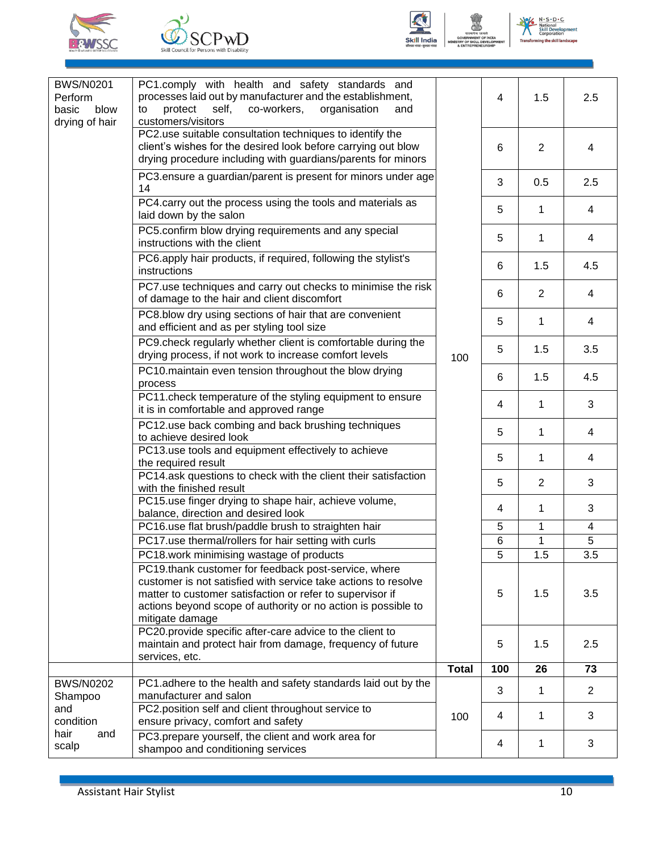





| <b>BWS/N0201</b><br>Perform<br>basic<br>blow<br>drying of hair | PC1.comply with health and safety standards and<br>processes laid out by manufacturer and the establishment,<br>self,<br>co-workers,<br>protect<br>organisation<br>to<br>and<br>customers/visitors                                                                      |              | 4   | 1.5         | 2.5            |
|----------------------------------------------------------------|-------------------------------------------------------------------------------------------------------------------------------------------------------------------------------------------------------------------------------------------------------------------------|--------------|-----|-------------|----------------|
|                                                                | PC2.use suitable consultation techniques to identify the<br>client's wishes for the desired look before carrying out blow<br>drying procedure including with guardians/parents for minors                                                                               |              | 6   | 2           | 4              |
|                                                                | PC3.ensure a guardian/parent is present for minors under age<br>14                                                                                                                                                                                                      |              | 3   | 0.5         | 2.5            |
|                                                                | PC4.carry out the process using the tools and materials as<br>laid down by the salon                                                                                                                                                                                    |              | 5   | 1           | 4              |
|                                                                | PC5.confirm blow drying requirements and any special<br>instructions with the client                                                                                                                                                                                    |              | 5   | 1           | 4              |
|                                                                | PC6.apply hair products, if required, following the stylist's<br>instructions                                                                                                                                                                                           |              | 6   | 1.5         | 4.5            |
|                                                                | PC7.use techniques and carry out checks to minimise the risk<br>of damage to the hair and client discomfort                                                                                                                                                             |              | 6   | 2           | 4              |
|                                                                | PC8.blow dry using sections of hair that are convenient<br>and efficient and as per styling tool size                                                                                                                                                                   |              | 5   | 1           | 4              |
|                                                                | PC9.check regularly whether client is comfortable during the<br>drying process, if not work to increase comfort levels                                                                                                                                                  | 100          | 5   | 1.5         | 3.5            |
|                                                                | PC10.maintain even tension throughout the blow drying<br>process                                                                                                                                                                                                        |              | 6   | 1.5         | 4.5            |
|                                                                | PC11.check temperature of the styling equipment to ensure<br>it is in comfortable and approved range                                                                                                                                                                    |              | 4   | $\mathbf 1$ | 3              |
|                                                                | PC12.use back combing and back brushing techniques<br>to achieve desired look                                                                                                                                                                                           |              | 5   | $\mathbf 1$ | 4              |
|                                                                | PC13.use tools and equipment effectively to achieve<br>the required result                                                                                                                                                                                              |              | 5   | $\mathbf 1$ | 4              |
|                                                                | PC14.ask questions to check with the client their satisfaction<br>with the finished result                                                                                                                                                                              |              | 5   | 2           | 3              |
|                                                                | PC15.use finger drying to shape hair, achieve volume,<br>balance, direction and desired look                                                                                                                                                                            |              | 4   | 1           | 3              |
|                                                                | PC16.use flat brush/paddle brush to straighten hair                                                                                                                                                                                                                     |              | 5   | 1           | 4              |
|                                                                | PC17.use thermal/rollers for hair setting with curls                                                                                                                                                                                                                    |              | 6   | 1           | 5              |
|                                                                | PC18.work minimising wastage of products                                                                                                                                                                                                                                |              | 5   | 1.5         | 3.5            |
|                                                                | PC19.thank customer for feedback post-service, where<br>customer is not satisfied with service take actions to resolve<br>matter to customer satisfaction or refer to supervisor if<br>actions beyond scope of authority or no action is possible to<br>mitigate damage |              | 5   | 1.5         | 3.5            |
|                                                                | PC20.provide specific after-care advice to the client to<br>maintain and protect hair from damage, frequency of future                                                                                                                                                  |              | 5   | 1.5         | 2.5            |
|                                                                | services, etc.                                                                                                                                                                                                                                                          |              |     |             |                |
|                                                                |                                                                                                                                                                                                                                                                         | <b>Total</b> | 100 | 26          | 73             |
| <b>BWS/N0202</b><br>Shampoo                                    | PC1.adhere to the health and safety standards laid out by the<br>manufacturer and salon                                                                                                                                                                                 |              | 3   | 1           | $\overline{2}$ |
| and<br>condition                                               | PC2.position self and client throughout service to<br>ensure privacy, comfort and safety                                                                                                                                                                                | 100          | 4   | $\mathbf 1$ | 3              |
| hair<br>and<br>scalp                                           | PC3.prepare yourself, the client and work area for<br>shampoo and conditioning services                                                                                                                                                                                 |              | 4   | $\mathbf 1$ | 3              |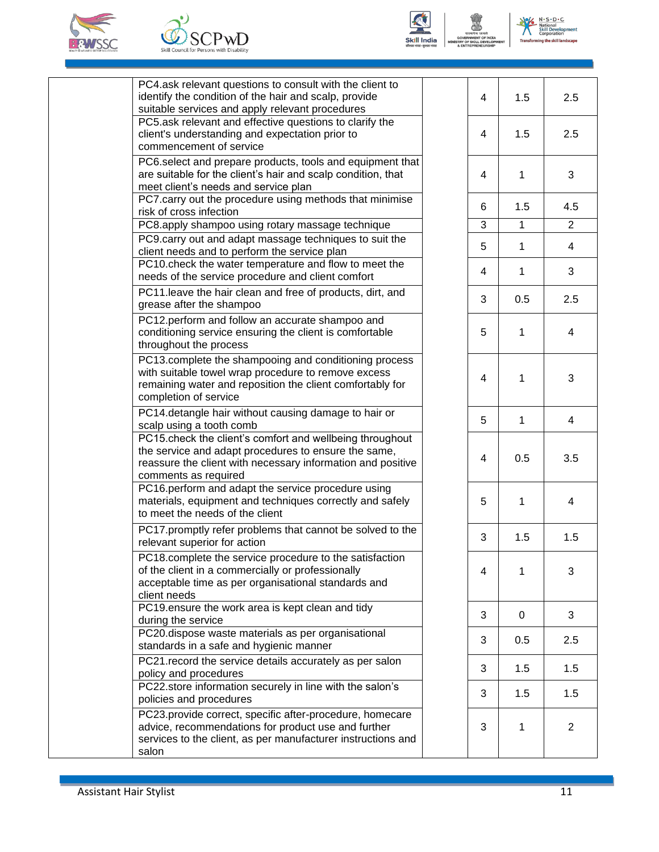





| PC4.ask relevant questions to consult with the client to<br>identify the condition of the hair and scalp, provide<br>suitable services and apply relevant procedures                                    | 4 | 1.5          | 2.5            |
|---------------------------------------------------------------------------------------------------------------------------------------------------------------------------------------------------------|---|--------------|----------------|
| PC5.ask relevant and effective questions to clarify the<br>client's understanding and expectation prior to<br>commencement of service                                                                   | 4 | 1.5          | 2.5            |
| PC6.select and prepare products, tools and equipment that<br>are suitable for the client's hair and scalp condition, that<br>meet client's needs and service plan                                       | 4 | 1            | 3              |
| PC7.carry out the procedure using methods that minimise<br>risk of cross infection                                                                                                                      | 6 | 1.5          | 4.5            |
| PC8.apply shampoo using rotary massage technique                                                                                                                                                        | 3 | $\mathbf{1}$ | 2              |
| PC9.carry out and adapt massage techniques to suit the<br>client needs and to perform the service plan                                                                                                  | 5 | 1            | 4              |
| PC10.check the water temperature and flow to meet the<br>needs of the service procedure and client comfort                                                                                              | 4 | 1            | 3              |
| PC11.leave the hair clean and free of products, dirt, and<br>grease after the shampoo                                                                                                                   | 3 | 0.5          | 2.5            |
| PC12.perform and follow an accurate shampoo and<br>conditioning service ensuring the client is comfortable<br>throughout the process                                                                    | 5 | 1            | 4              |
| PC13.complete the shampooing and conditioning process<br>with suitable towel wrap procedure to remove excess<br>remaining water and reposition the client comfortably for<br>completion of service      | 4 | 1            | 3              |
| PC14.detangle hair without causing damage to hair or<br>scalp using a tooth comb                                                                                                                        | 5 | 1            | 4              |
| PC15.check the client's comfort and wellbeing throughout<br>the service and adapt procedures to ensure the same,<br>reassure the client with necessary information and positive<br>comments as required | 4 | 0.5          | 3.5            |
| PC16.perform and adapt the service procedure using<br>materials, equipment and techniques correctly and safely<br>to meet the needs of the client                                                       | 5 | 1            | 4              |
| PC17.promptly refer problems that cannot be solved to the<br>relevant superior for action                                                                                                               | 3 | 1.5          | 1.5            |
| PC18.complete the service procedure to the satisfaction<br>of the client in a commercially or professionally<br>acceptable time as per organisational standards and<br>client needs                     | 4 | 1            | 3              |
| PC19 ensure the work area is kept clean and tidy<br>during the service                                                                                                                                  | 3 | 0            | 3              |
| PC20.dispose waste materials as per organisational<br>standards in a safe and hygienic manner                                                                                                           | 3 | 0.5          | 2.5            |
| PC21. record the service details accurately as per salon<br>policy and procedures                                                                                                                       | 3 | 1.5          | 1.5            |
| PC22.store information securely in line with the salon's<br>policies and procedures                                                                                                                     | 3 | 1.5          | 1.5            |
| PC23.provide correct, specific after-procedure, homecare<br>advice, recommendations for product use and further<br>services to the client, as per manufacturer instructions and<br>salon                | 3 | 1            | $\overline{2}$ |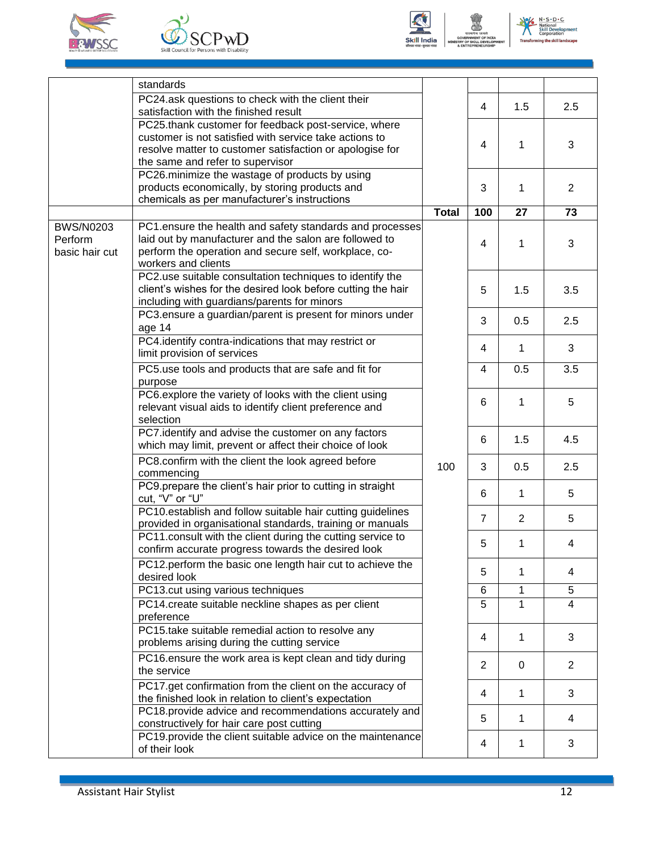





|                                               | standards                                                                                                                                                                                                      |              |                |             |                |
|-----------------------------------------------|----------------------------------------------------------------------------------------------------------------------------------------------------------------------------------------------------------------|--------------|----------------|-------------|----------------|
|                                               | PC24.ask questions to check with the client their<br>satisfaction with the finished result                                                                                                                     |              | 4              | 1.5         | 2.5            |
|                                               | PC25.thank customer for feedback post-service, where<br>customer is not satisfied with service take actions to<br>resolve matter to customer satisfaction or apologise for<br>the same and refer to supervisor |              | 4              | 1           | 3              |
|                                               | PC26.minimize the wastage of products by using<br>products economically, by storing products and<br>chemicals as per manufacturer's instructions                                                               |              | 3              | 1           | $\overline{2}$ |
|                                               |                                                                                                                                                                                                                | <b>Total</b> | 100            | 27          | 73             |
| <b>BWS/N0203</b><br>Perform<br>basic hair cut | PC1.ensure the health and safety standards and processes<br>laid out by manufacturer and the salon are followed to<br>perform the operation and secure self, workplace, co-<br>workers and clients             |              | 4              | 1           | 3              |
|                                               | PC2.use suitable consultation techniques to identify the<br>client's wishes for the desired look before cutting the hair<br>including with guardians/parents for minors                                        |              | 5              | 1.5         | 3.5            |
|                                               | PC3.ensure a guardian/parent is present for minors under<br>age 14                                                                                                                                             |              | 3              | 0.5         | 2.5            |
|                                               | PC4.identify contra-indications that may restrict or<br>limit provision of services                                                                                                                            | 100          | 4              | 1           | 3              |
|                                               | PC5.use tools and products that are safe and fit for<br>purpose                                                                                                                                                |              | $\overline{4}$ | 0.5         | 3.5            |
|                                               | PC6.explore the variety of looks with the client using<br>relevant visual aids to identify client preference and<br>selection                                                                                  |              | 6              | 1           | 5              |
|                                               | PC7.identify and advise the customer on any factors<br>which may limit, prevent or affect their choice of look                                                                                                 |              | 6              | 1.5         | 4.5            |
|                                               | PC8.confirm with the client the look agreed before<br>commencing                                                                                                                                               |              | 3              | 0.5         | 2.5            |
|                                               | PC9.prepare the client's hair prior to cutting in straight<br>cut, "V" or "U"                                                                                                                                  |              | 6              | 1           | 5              |
|                                               | PC10.establish and follow suitable hair cutting guidelines<br>provided in organisational standards, training or manuals                                                                                        |              | $\overline{7}$ | 2           | 5              |
|                                               | PC11.consult with the client during the cutting service to<br>confirm accurate progress towards the desired look                                                                                               |              | 5              | 1           | 4              |
|                                               | PC12.perform the basic one length hair cut to achieve the<br>desired look                                                                                                                                      |              | 5              | 1           | 4              |
|                                               | PC13.cut using various techniques                                                                                                                                                                              |              | 6              | 1           | 5              |
|                                               | PC14.create suitable neckline shapes as per client<br>preference                                                                                                                                               |              | 5              | 1           | 4              |
|                                               | PC15.take suitable remedial action to resolve any<br>problems arising during the cutting service                                                                                                               |              | 4              | 1           | 3              |
|                                               | PC16.ensure the work area is kept clean and tidy during<br>the service                                                                                                                                         |              | $\overline{2}$ | $\mathbf 0$ | $\overline{2}$ |
|                                               | PC17.get confirmation from the client on the accuracy of<br>the finished look in relation to client's expectation                                                                                              |              | 4              | 1           | 3              |
|                                               | PC18.provide advice and recommendations accurately and<br>constructively for hair care post cutting                                                                                                            |              | 5              | 1           | 4              |
|                                               | PC19.provide the client suitable advice on the maintenance<br>of their look                                                                                                                                    |              | 4              | 1           | 3              |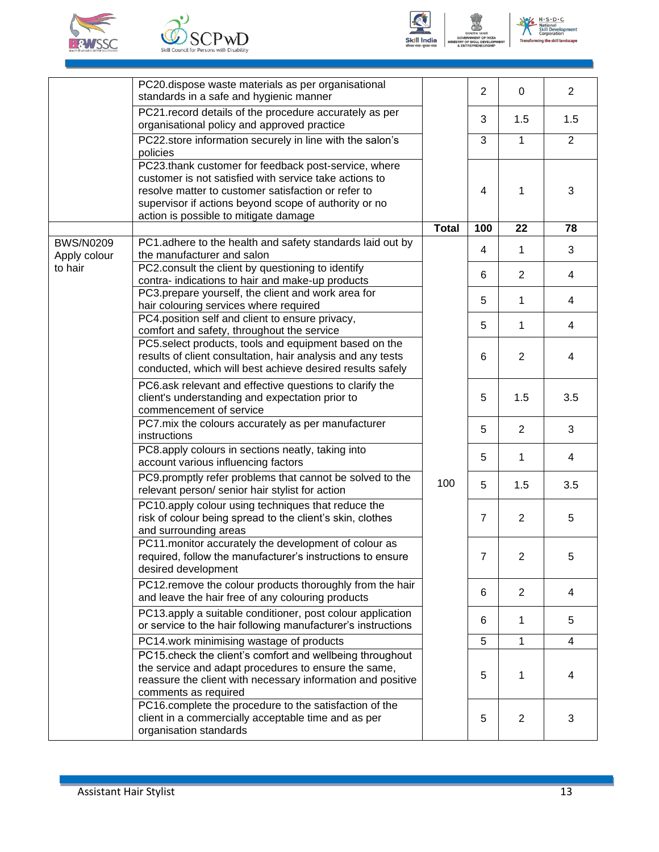







|                                  | PC20.dispose waste materials as per organisational<br>standards in a safe and hygienic manner                                                                                                                                                                           |              | $\overline{2}$ | 0              | $\overline{2}$ |
|----------------------------------|-------------------------------------------------------------------------------------------------------------------------------------------------------------------------------------------------------------------------------------------------------------------------|--------------|----------------|----------------|----------------|
|                                  | PC21. record details of the procedure accurately as per<br>organisational policy and approved practice                                                                                                                                                                  |              | 3              | 1.5            | 1.5            |
|                                  | PC22.store information securely in line with the salon's<br>policies                                                                                                                                                                                                    |              | 3              | $\mathbf{1}$   | $\overline{2}$ |
|                                  | PC23.thank customer for feedback post-service, where<br>customer is not satisfied with service take actions to<br>resolve matter to customer satisfaction or refer to<br>supervisor if actions beyond scope of authority or no<br>action is possible to mitigate damage |              | 4              | $\mathbf 1$    | 3              |
|                                  |                                                                                                                                                                                                                                                                         | <b>Total</b> | 100            | 22             | 78             |
| <b>BWS/N0209</b><br>Apply colour | PC1.adhere to the health and safety standards laid out by<br>the manufacturer and salon                                                                                                                                                                                 |              | 4              | 1              | 3              |
| to hair                          | PC2.consult the client by questioning to identify<br>contra-indications to hair and make-up products                                                                                                                                                                    |              | 6              | $\overline{2}$ | 4              |
|                                  | PC3.prepare yourself, the client and work area for<br>hair colouring services where required                                                                                                                                                                            |              | 5              | 1              | 4              |
|                                  | PC4.position self and client to ensure privacy,<br>comfort and safety, throughout the service                                                                                                                                                                           |              | 5              | 1              | 4              |
|                                  | PC5.select products, tools and equipment based on the<br>results of client consultation, hair analysis and any tests<br>conducted, which will best achieve desired results safely                                                                                       |              | 6              | 2              | 4              |
|                                  | PC6.ask relevant and effective questions to clarify the<br>client's understanding and expectation prior to<br>commencement of service                                                                                                                                   |              | 5              | 1.5            | 3.5            |
|                                  | PC7.mix the colours accurately as per manufacturer<br>instructions                                                                                                                                                                                                      |              | 5              | $\overline{2}$ | 3              |
|                                  | PC8.apply colours in sections neatly, taking into<br>account various influencing factors                                                                                                                                                                                |              | 5              | 1              | 4              |
|                                  | PC9.promptly refer problems that cannot be solved to the<br>relevant person/ senior hair stylist for action                                                                                                                                                             | 100          | 5              | 1.5            | 3.5            |
|                                  | PC10.apply colour using techniques that reduce the<br>risk of colour being spread to the client's skin, clothes<br>and surrounding areas                                                                                                                                |              | $\overline{7}$ | $\overline{2}$ | 5              |
|                                  | PC11.monitor accurately the development of colour as<br>required, follow the manufacturer's instructions to ensure<br>desired development                                                                                                                               |              | 7              | $\overline{2}$ | 5              |
|                                  | PC12.remove the colour products thoroughly from the hair<br>and leave the hair free of any colouring products                                                                                                                                                           |              | 6              | $\overline{2}$ | 4              |
|                                  | PC13.apply a suitable conditioner, post colour application<br>or service to the hair following manufacturer's instructions                                                                                                                                              |              | 6              | 1              | 5              |
|                                  | PC14.work minimising wastage of products                                                                                                                                                                                                                                |              | 5              | 1              | 4              |
|                                  | PC15.check the client's comfort and wellbeing throughout<br>the service and adapt procedures to ensure the same,<br>reassure the client with necessary information and positive<br>comments as required                                                                 |              | 5              | 1              | 4              |
|                                  | PC16.complete the procedure to the satisfaction of the<br>client in a commercially acceptable time and as per<br>organisation standards                                                                                                                                 |              | 5              | $\overline{2}$ | 3              |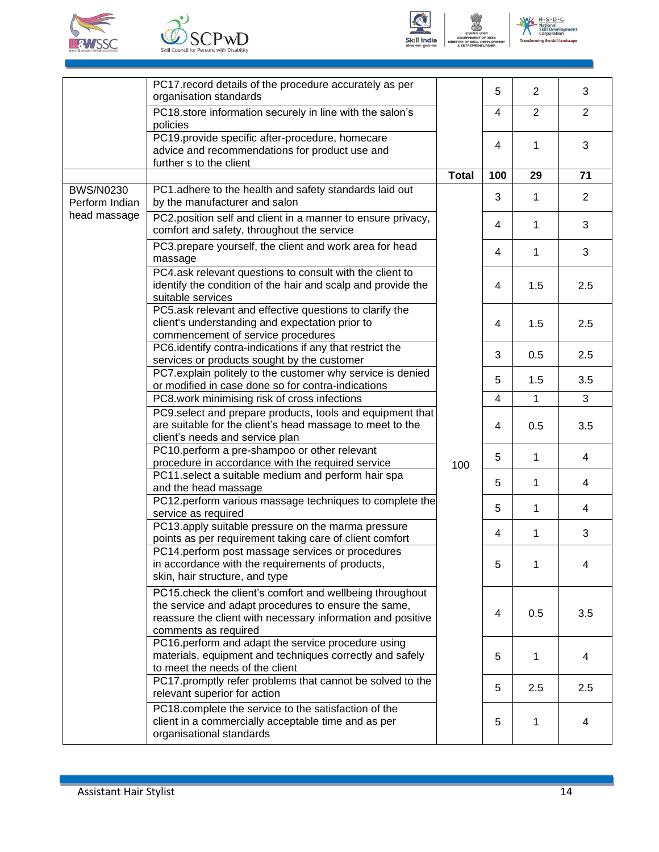







|                  | PC17 record details of the procedure accurately as per<br>organisation standards                                                                                                                        |              | 5   | $\overline{2}$ | 3              |
|------------------|---------------------------------------------------------------------------------------------------------------------------------------------------------------------------------------------------------|--------------|-----|----------------|----------------|
|                  | PC18.store information securely in line with the salon's<br>policies                                                                                                                                    |              | 4   | $\overline{2}$ | $\overline{2}$ |
|                  | PC19.provide specific after-procedure, homecare                                                                                                                                                         |              | 4   | 1              | 3              |
|                  | advice and recommendations for product use and<br>further s to the client                                                                                                                               |              |     |                |                |
|                  |                                                                                                                                                                                                         | <b>Total</b> | 100 | 29             | 71             |
| <b>BWS/N0230</b> | PC1.adhere to the health and safety standards laid out                                                                                                                                                  |              |     |                |                |
| Perform Indian   | by the manufacturer and salon                                                                                                                                                                           |              | 3   | 1              | $\overline{2}$ |
| head massage     | PC2.position self and client in a manner to ensure privacy,<br>comfort and safety, throughout the service                                                                                               |              | 4   | 1              | 3              |
|                  | PC3.prepare yourself, the client and work area for head<br>massage                                                                                                                                      |              | 4   | 1              | 3              |
|                  | PC4.ask relevant questions to consult with the client to<br>identify the condition of the hair and scalp and provide the<br>suitable services                                                           |              | 4   | 1.5            | 2.5            |
|                  | PC5.ask relevant and effective questions to clarify the<br>client's understanding and expectation prior to<br>commencement of service procedures                                                        |              | 4   | 1.5            | 2.5            |
|                  | PC6.identify contra-indications if any that restrict the<br>services or products sought by the customer                                                                                                 |              | 3   | 0.5            | 2.5            |
|                  | PC7.explain politely to the customer why service is denied                                                                                                                                              |              | 5   | 1.5            | 3.5            |
|                  | or modified in case done so for contra-indications<br>PC8.work minimising risk of cross infections                                                                                                      |              | 4   | 1              | 3              |
|                  | PC9.select and prepare products, tools and equipment that<br>are suitable for the client's head massage to meet to the<br>client's needs and service plan                                               |              | 4   | 0.5            | 3.5            |
|                  | PC10.perform a pre-shampoo or other relevant<br>procedure in accordance with the required service                                                                                                       |              | 5   | 1              | 4              |
|                  | PC11.select a suitable medium and perform hair spa                                                                                                                                                      | 100          | 5   | 1              | 4              |
|                  | and the head massage<br>PC12.perform various massage techniques to complete the                                                                                                                         |              |     |                |                |
|                  | service as required                                                                                                                                                                                     |              | 5   | 1              | 4              |
|                  | PC13.apply suitable pressure on the marma pressure<br>points as per requirement taking care of client comfort                                                                                           |              | 4   | 1              | 3              |
|                  | PC14.perform post massage services or procedures<br>in accordance with the requirements of products,<br>skin, hair structure, and type                                                                  |              | 5   | 1              | 4              |
|                  | PC15.check the client's comfort and wellbeing throughout<br>the service and adapt procedures to ensure the same,<br>reassure the client with necessary information and positive<br>comments as required |              | 4   | 0.5            | 3.5            |
|                  | PC16.perform and adapt the service procedure using<br>materials, equipment and techniques correctly and safely<br>to meet the needs of the client                                                       |              | 5   | 1              | 4              |
|                  | PC17.promptly refer problems that cannot be solved to the<br>relevant superior for action                                                                                                               |              | 5   | 2.5            | 2.5            |
|                  | PC18.complete the service to the satisfaction of the<br>client in a commercially acceptable time and as per<br>organisational standards                                                                 |              | 5   | 1              | 4              |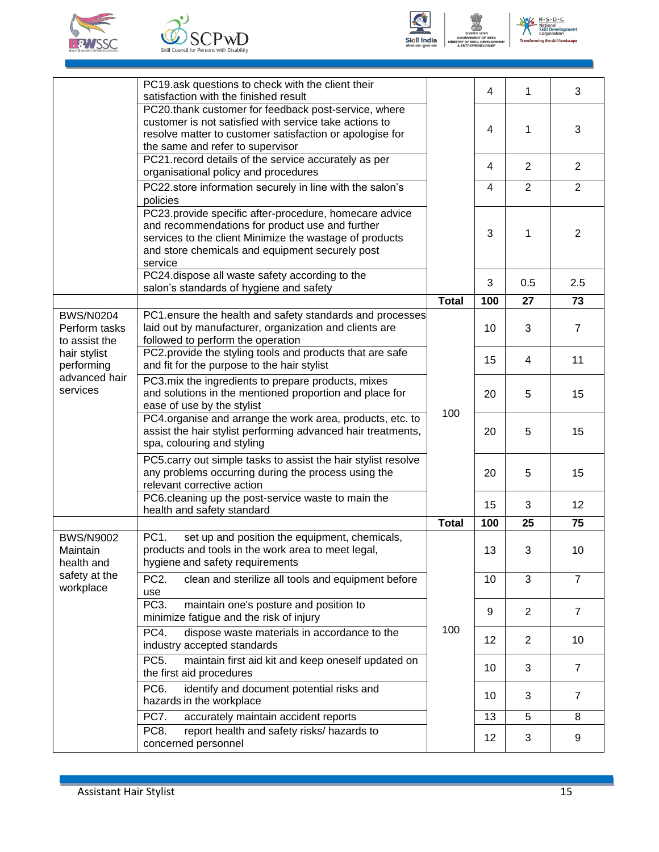







|                                                                          | PC19.ask questions to check with the client their<br>satisfaction with the finished result                                                                                                                                         |                                              | 4   | 1              | 3              |
|--------------------------------------------------------------------------|------------------------------------------------------------------------------------------------------------------------------------------------------------------------------------------------------------------------------------|----------------------------------------------|-----|----------------|----------------|
|                                                                          | PC20.thank customer for feedback post-service, where<br>customer is not satisfied with service take actions to<br>resolve matter to customer satisfaction or apologise for<br>the same and refer to supervisor                     |                                              | 4   | 1              | 3              |
|                                                                          | PC21. record details of the service accurately as per<br>organisational policy and procedures                                                                                                                                      |                                              | 4   | 2              | $\overline{2}$ |
|                                                                          | PC22.store information securely in line with the salon's<br>policies                                                                                                                                                               |                                              | 4   | 2              | $\overline{2}$ |
|                                                                          | PC23.provide specific after-procedure, homecare advice<br>and recommendations for product use and further<br>services to the client Minimize the wastage of products<br>and store chemicals and equipment securely post<br>service |                                              | 3   | 1              | $\overline{2}$ |
|                                                                          | PC24.dispose all waste safety according to the<br>salon's standards of hygiene and safety                                                                                                                                          |                                              | 3   | 0.5            | 2.5            |
|                                                                          |                                                                                                                                                                                                                                    | <b>Total</b>                                 | 100 | 27             | 73             |
| <b>BWS/N0204</b><br>Perform tasks<br>to assist the                       | PC1.ensure the health and safety standards and processes<br>laid out by manufacturer, organization and clients are<br>followed to perform the operation                                                                            |                                              | 10  | 3              | $\overline{7}$ |
| hair stylist<br>performing                                               | PC2.provide the styling tools and products that are safe<br>and fit for the purpose to the hair stylist                                                                                                                            | 100                                          | 15  | 4              | 11             |
| advanced hair<br>services                                                | PC3. mix the ingredients to prepare products, mixes<br>and solutions in the mentioned proportion and place for<br>ease of use by the stylist                                                                                       |                                              | 20  | 5              | 15             |
|                                                                          | PC4.organise and arrange the work area, products, etc. to<br>assist the hair stylist performing advanced hair treatments,<br>spa, colouring and styling                                                                            |                                              | 20  | 5              | 15             |
|                                                                          | PC5.carry out simple tasks to assist the hair stylist resolve<br>any problems occurring during the process using the<br>relevant corrective action                                                                                 |                                              | 20  | 5              | 15             |
|                                                                          | PC6.cleaning up the post-service waste to main the<br>health and safety standard                                                                                                                                                   |                                              | 15  | 3              | 12             |
|                                                                          |                                                                                                                                                                                                                                    | <b>Total</b>                                 | 100 | 25             | 75             |
| <b>BWS/N9002</b><br>Maintain<br>health and<br>safety at the<br>workplace | PC <sub>1</sub> .<br>set up and position the equipment, chemicals,<br>products and tools in the work area to meet legal,<br>hygiene and safety requirements                                                                        | 13<br>10<br>9<br>100<br>12<br>10<br>10<br>13 |     | 3              | 10             |
|                                                                          | PC <sub>2</sub> .<br>clean and sterilize all tools and equipment before<br>use                                                                                                                                                     |                                              |     | 3              | $\overline{7}$ |
|                                                                          | maintain one's posture and position to<br>PC <sub>3</sub> .<br>minimize fatigue and the risk of injury                                                                                                                             |                                              |     | 2              | $\overline{7}$ |
|                                                                          | PC4.<br>dispose waste materials in accordance to the<br>industry accepted standards                                                                                                                                                |                                              |     | $\overline{2}$ | 10             |
|                                                                          | PC <sub>5</sub> .<br>maintain first aid kit and keep oneself updated on<br>the first aid procedures                                                                                                                                |                                              |     | 3              | $\overline{7}$ |
|                                                                          | PC <sub>6</sub> .<br>identify and document potential risks and<br>hazards in the workplace                                                                                                                                         |                                              |     | 3              | $\overline{7}$ |
|                                                                          | PC7.<br>accurately maintain accident reports                                                                                                                                                                                       |                                              |     | 5              | 8              |
|                                                                          | PC8.<br>report health and safety risks/ hazards to<br>concerned personnel                                                                                                                                                          |                                              | 12  | 3              | 9              |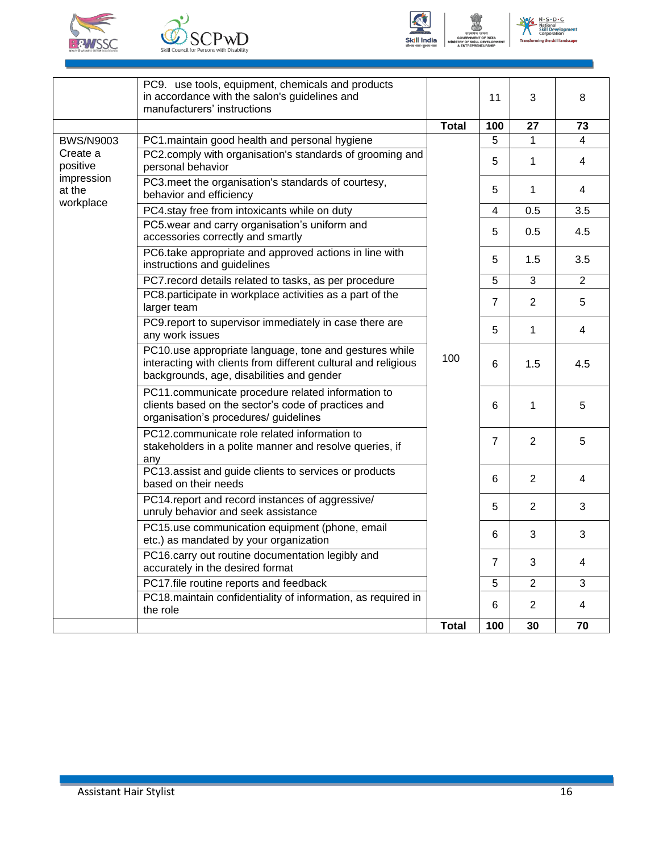





|                                                                  | PC9. use tools, equipment, chemicals and products<br>in accordance with the salon's guidelines and<br>manufacturers' instructions                                     |              | 11             | 3              | 8              |
|------------------------------------------------------------------|-----------------------------------------------------------------------------------------------------------------------------------------------------------------------|--------------|----------------|----------------|----------------|
|                                                                  |                                                                                                                                                                       | <b>Total</b> | 100            | 27             | 73             |
| <b>BWS/N9003</b><br>Create a<br>positive<br>impression<br>at the | PC1.maintain good health and personal hygiene                                                                                                                         | 100          | 5              | 1              | $\overline{4}$ |
|                                                                  | PC2.comply with organisation's standards of grooming and<br>personal behavior                                                                                         |              | 5              | 1              | 4              |
|                                                                  | PC3.meet the organisation's standards of courtesy,<br>behavior and efficiency                                                                                         |              | 5              | 1              | 4              |
| workplace                                                        | PC4.stay free from intoxicants while on duty                                                                                                                          |              | 4              | 0.5            | 3.5            |
|                                                                  | PC5.wear and carry organisation's uniform and<br>accessories correctly and smartly                                                                                    |              | 5              | 0.5            | 4.5            |
|                                                                  | PC6.take appropriate and approved actions in line with<br>instructions and guidelines                                                                                 |              | 5              | 1.5            | 3.5            |
|                                                                  | PC7. record details related to tasks, as per procedure                                                                                                                |              | 5              | 3              | $\overline{2}$ |
|                                                                  | PC8.participate in workplace activities as a part of the<br>larger team                                                                                               |              | $\overline{7}$ | 2              | 5              |
|                                                                  | PC9.report to supervisor immediately in case there are<br>any work issues                                                                                             |              | 5              | 1              | 4              |
|                                                                  | PC10.use appropriate language, tone and gestures while<br>interacting with clients from different cultural and religious<br>backgrounds, age, disabilities and gender |              | 6              | 1.5            | 4.5            |
|                                                                  | PC11.communicate procedure related information to<br>clients based on the sector's code of practices and<br>organisation's procedures/ guidelines                     |              | 6              | 1              | 5              |
|                                                                  | PC12.communicate role related information to<br>stakeholders in a polite manner and resolve queries, if<br>any                                                        |              | $\overline{7}$ | $\overline{2}$ | 5              |
|                                                                  | PC13 assist and guide clients to services or products<br>based on their needs                                                                                         |              | 6              | $\overline{2}$ | 4              |
|                                                                  | PC14.report and record instances of aggressive/<br>unruly behavior and seek assistance                                                                                |              | 5              | $\overline{2}$ | 3              |
|                                                                  | PC15.use communication equipment (phone, email<br>etc.) as mandated by your organization                                                                              |              | 6              | 3              | 3              |
|                                                                  | PC16.carry out routine documentation legibly and<br>accurately in the desired format                                                                                  |              | $\overline{7}$ | 3              | 4              |
|                                                                  | PC17.file routine reports and feedback                                                                                                                                |              | 5              | $\overline{2}$ | 3              |
|                                                                  | PC18.maintain confidentiality of information, as required in<br>the role                                                                                              |              | 6              | 2              | $\overline{4}$ |
|                                                                  |                                                                                                                                                                       | <b>Total</b> | 100            | 30             | 70             |